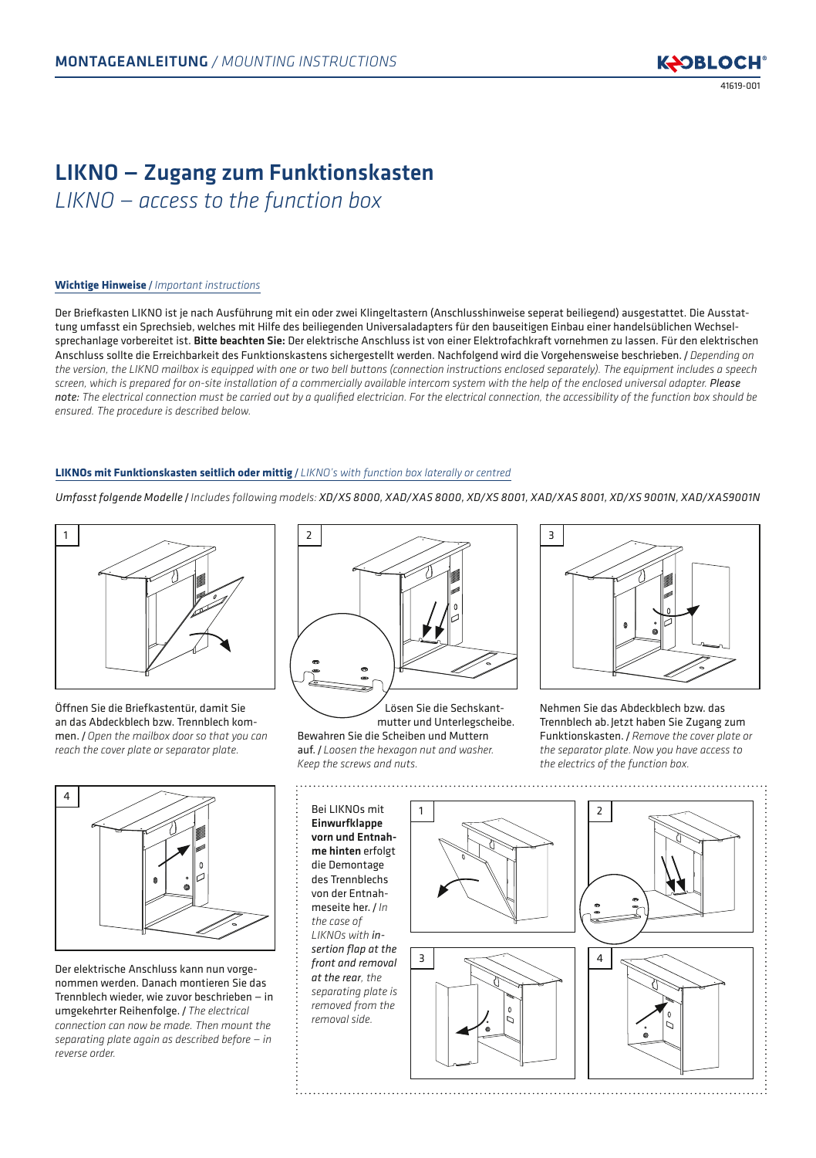# LIKNO — Zugang zum Funktionskasten *LIKNO — access to the function box*

## **Wichtige Hinweise** / *Important instructions*

Der Briefkasten LIKNO ist je nach Ausführung mit ein oder zwei Klingeltastern (Anschlusshinweise seperat beiliegend) ausgestattet. Die Ausstattung umfasst ein Sprechsieb, welches mit Hilfe des beiliegenden Universaladapters für den bauseitigen Einbau einer handelsüblichen Wechselsprechanlage vorbereitet ist. Bitte beachten Sie: Der elektrische Anschluss ist von einer Elektrofachkraft vornehmen zu lassen. Für den elektrischen Anschluss sollte die Erreichbarkeit des Funktionskastens sichergestellt werden. Nachfolgend wird die Vorgehensweise beschrieben. /*Depending on the version, the LIKNO mailbox is equipped with one or two bell buttons (connection instructions enclosed separately). The equipment includes a speech screen, which is prepared for on-site installation of a commercially available intercom system with the help of the enclosed universal adapter. Please note: The electrical connection must be carried out by a qualified electrician. For the electrical connection, the accessibility of the function box should be ensured. The procedure is described below.*

## **LIKNOs mit Funktionskasten seitlich oder mittig** / *LIKNO's with function box laterally or centred*

*Umfasst folgende Modelle* / *Includes following models: XD/XS 8000, XAD/XAS 8000, XD/XS 8001, XAD/XAS 8001, XD/XS 9001N, XAD/XAS9001N*



Öffnen Sie die Briefkastentür, damit Sie an das Abdeckblech bzw. Trennblech kommen. /*Open the mailbox door so that you can reach the cover plate or separator plate.*



Der elektrische Anschluss kann nun vorgenommen werden. Danach montieren Sie das Trennblech wieder, wie zuvor beschrieben — in umgekehrter Reihenfolge. /*The electrical connection can now be made. Then mount the separating plate again as described before — in reverse order.*



Lösen Sie die Sechskantmutter und Unterlegscheibe. Bewahren Sie die Scheiben und Muttern auf. / *Loosen the hexagon nut and washer. Keep the screws and nuts.*

. . . . . . . . . . . . . . . . . . . .



Nehmen Sie das Abdeckblech bzw. das Trennblech ab.Jetzt haben Sie Zugang zum Funktionskasten. /*Remove the cover plate or the separator plate.Now you have access to the electrics of the function box.*

Bei LIKNOs mit Einwurfklappe vorn und Entnahme hinten erfolgt die Demontage des Trennblechs von der Entnahmeseite her. / *In the case of LIKNOs with insertion flap at the front and removal at the rear, the separating plate is removed from the removal side.*